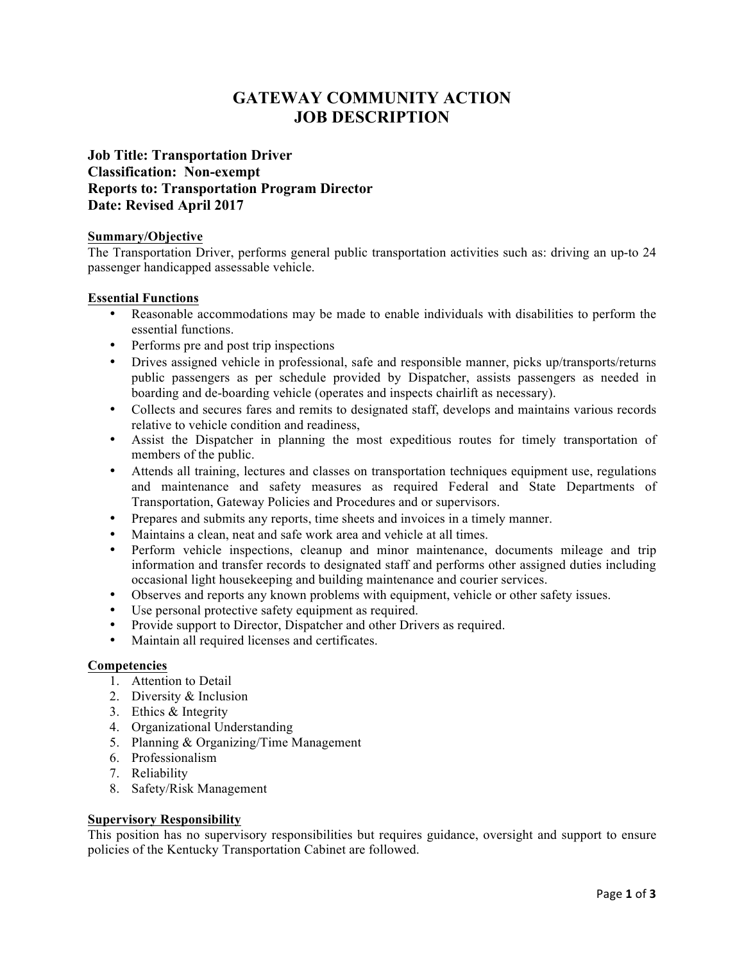# **GATEWAY COMMUNITY ACTION JOB DESCRIPTION**

# **Job Title: Transportation Driver Classification: Non-exempt Reports to: Transportation Program Director Date: Revised April 2017**

### **Summary/Objective**

The Transportation Driver, performs general public transportation activities such as: driving an up-to 24 passenger handicapped assessable vehicle.

## **Essential Functions**

- Reasonable accommodations may be made to enable individuals with disabilities to perform the essential functions.
- Performs pre and post trip inspections
- Drives assigned vehicle in professional, safe and responsible manner, picks up/transports/returns public passengers as per schedule provided by Dispatcher, assists passengers as needed in boarding and de-boarding vehicle (operates and inspects chairlift as necessary).
- Collects and secures fares and remits to designated staff, develops and maintains various records relative to vehicle condition and readiness,
- Assist the Dispatcher in planning the most expeditious routes for timely transportation of members of the public.
- Attends all training, lectures and classes on transportation techniques equipment use, regulations and maintenance and safety measures as required Federal and State Departments of Transportation, Gateway Policies and Procedures and or supervisors.
- Prepares and submits any reports, time sheets and invoices in a timely manner.
- Maintains a clean, neat and safe work area and vehicle at all times.
- Perform vehicle inspections, cleanup and minor maintenance, documents mileage and trip information and transfer records to designated staff and performs other assigned duties including occasional light housekeeping and building maintenance and courier services.
- Observes and reports any known problems with equipment, vehicle or other safety issues.
- Use personal protective safety equipment as required.
- Provide support to Director, Dispatcher and other Drivers as required.
- Maintain all required licenses and certificates.

#### **Competencies**

- 1. Attention to Detail
- 2. Diversity & Inclusion
- 3. Ethics & Integrity
- 4. Organizational Understanding
- 5. Planning & Organizing/Time Management
- 6. Professionalism
- 7. Reliability
- 8. Safety/Risk Management

#### **Supervisory Responsibility**

This position has no supervisory responsibilities but requires guidance, oversight and support to ensure policies of the Kentucky Transportation Cabinet are followed.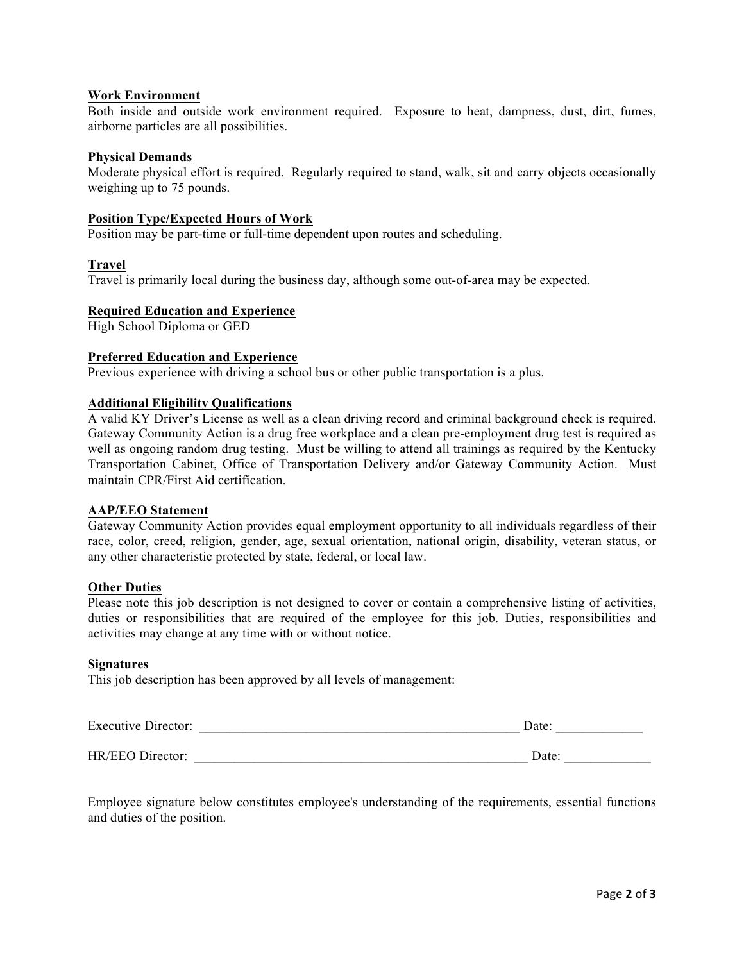### **Work Environment**

Both inside and outside work environment required. Exposure to heat, dampness, dust, dirt, fumes, airborne particles are all possibilities.

#### **Physical Demands**

Moderate physical effort is required. Regularly required to stand, walk, sit and carry objects occasionally weighing up to 75 pounds.

#### **Position Type/Expected Hours of Work**

Position may be part-time or full-time dependent upon routes and scheduling.

#### **Travel**

Travel is primarily local during the business day, although some out-of-area may be expected.

#### **Required Education and Experience**

High School Diploma or GED

#### **Preferred Education and Experience**

Previous experience with driving a school bus or other public transportation is a plus.

#### **Additional Eligibility Qualifications**

A valid KY Driver's License as well as a clean driving record and criminal background check is required. Gateway Community Action is a drug free workplace and a clean pre-employment drug test is required as well as ongoing random drug testing. Must be willing to attend all trainings as required by the Kentucky Transportation Cabinet, Office of Transportation Delivery and/or Gateway Community Action. Must maintain CPR/First Aid certification.

#### **AAP/EEO Statement**

Gateway Community Action provides equal employment opportunity to all individuals regardless of their race, color, creed, religion, gender, age, sexual orientation, national origin, disability, veteran status, or any other characteristic protected by state, federal, or local law.

#### **Other Duties**

Please note this job description is not designed to cover or contain a comprehensive listing of activities, duties or responsibilities that are required of the employee for this job. Duties, responsibilities and activities may change at any time with or without notice.

#### **Signatures**

This job description has been approved by all levels of management:

| <b>Executive Director:</b> | Date: |
|----------------------------|-------|
|                            |       |
| HR/EEO Director:           | Date: |

Employee signature below constitutes employee's understanding of the requirements, essential functions and duties of the position.